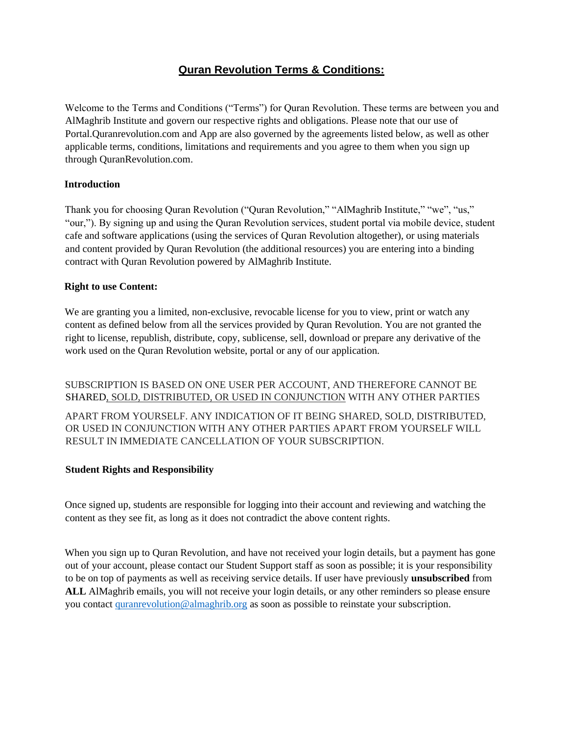# **Quran Revolution Terms & Conditions:**

Welcome to the Terms and Conditions ("Terms") for Quran Revolution. These terms are between you and AlMaghrib Institute and govern our respective rights and obligations. Please note that our use of Portal.Quranrevolution.com and App are also governed by the agreements listed below, as well as other applicable terms, conditions, limitations and requirements and you agree to them when you sign up through QuranRevolution.com.

## **Introduction**

Thank you for choosing Quran Revolution ("Quran Revolution," "AlMaghrib Institute," "we", "us," "our,"). By signing up and using the Quran Revolution services, student portal via mobile device, student cafe and software applications (using the services of Quran Revolution altogether), or using materials and content provided by Quran Revolution (the additional resources) you are entering into a binding contract with Quran Revolution powered by AlMaghrib Institute.

#### **Right to use Content:**

We are granting you a limited, non-exclusive, revocable license for you to view, print or watch any content as defined below from all the services provided by Quran Revolution. You are not granted the right to license, republish, distribute, copy, sublicense, sell, download or prepare any derivative of the work used on the Quran Revolution website, portal or any of our application.

SUBSCRIPTION IS BASED ON ONE USER PER ACCOUNT, AND THEREFORE CANNOT BE SHARED, SOLD, DISTRIBUTED, OR USED IN CONJUNCTION WITH ANY OTHER PARTIES APART FROM YOURSELF. ANY INDICATION OF IT BEING SHARED, SOLD, DISTRIBUTED,

OR USED IN CONJUNCTION WITH ANY OTHER PARTIES APART FROM YOURSELF WILL RESULT IN IMMEDIATE CANCELLATION OF YOUR SUBSCRIPTION.

# **Student Rights and Responsibility**

Once signed up, students are responsible for logging into their account and reviewing and watching the content as they see fit, as long as it does not contradict the above content rights.

When you sign up to Quran Revolution, and have not received your login details, but a payment has gone out of your account, please contact our Student Support staff as soon as possible; it is your responsibility to be on top of payments as well as receiving service details. If user have previously **unsubscribed** from **ALL** AlMaghrib emails, you will not receive your login details, or any other reminders so please ensure you contact quranrevolution@almaghrib.org as soon as possible to reinstate your subscription.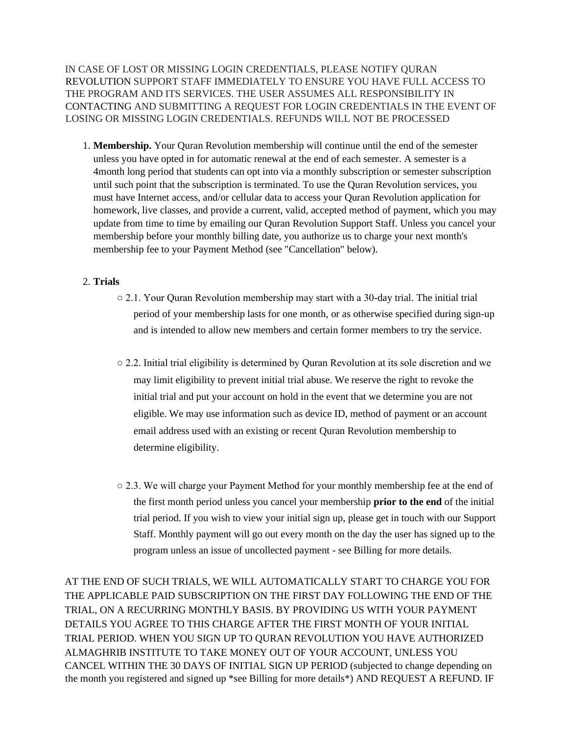IN CASE OF LOST OR MISSING LOGIN CREDENTIALS, PLEASE NOTIFY QURAN REVOLUTION SUPPORT STAFF IMMEDIATELY TO ENSURE YOU HAVE FULL ACCESS TO THE PROGRAM AND ITS SERVICES. THE USER ASSUMES ALL RESPONSIBILITY IN CONTACTING AND SUBMITTING A REQUEST FOR LOGIN CREDENTIALS IN THE EVENT OF LOSING OR MISSING LOGIN CREDENTIALS. REFUNDS WILL NOT BE PROCESSED

1. **Membership.** Your Quran Revolution membership will continue until the end of the semester unless you have opted in for automatic renewal at the end of each semester. A semester is a 4month long period that students can opt into via a monthly subscription or semester subscription until such point that the subscription is terminated. To use the Quran Revolution services, you must have Internet access, and/or cellular data to access your Quran Revolution application for homework, live classes, and provide a current, valid, accepted method of payment, which you may update from time to time by emailing our Quran Revolution Support Staff. Unless you cancel your membership before your monthly billing date, you authorize us to charge your next month's membership fee to your Payment Method (see "Cancellation" below).

#### 2. **Trials**

- $\circ$  2.1. Your Quran Revolution membership may start with a 30-day trial. The initial trial period of your membership lasts for one month, or as otherwise specified during sign-up and is intended to allow new members and certain former members to try the service.
- 2.2. Initial trial eligibility is determined by Quran Revolution at its sole discretion and we may limit eligibility to prevent initial trial abuse. We reserve the right to revoke the initial trial and put your account on hold in the event that we determine you are not eligible. We may use information such as device ID, method of payment or an account email address used with an existing or recent Quran Revolution membership to determine eligibility.
- $\circ$  2.3. We will charge your Payment Method for your monthly membership fee at the end of the first month period unless you cancel your membership **prior to the end** of the initial trial period. If you wish to view your initial sign up, please get in touch with our Support Staff. Monthly payment will go out every month on the day the user has signed up to the program unless an issue of uncollected payment - see Billing for more details.

AT THE END OF SUCH TRIALS, WE WILL AUTOMATICALLY START TO CHARGE YOU FOR THE APPLICABLE PAID SUBSCRIPTION ON THE FIRST DAY FOLLOWING THE END OF THE TRIAL, ON A RECURRING MONTHLY BASIS. BY PROVIDING US WITH YOUR PAYMENT DETAILS YOU AGREE TO THIS CHARGE AFTER THE FIRST MONTH OF YOUR INITIAL TRIAL PERIOD. WHEN YOU SIGN UP TO QURAN REVOLUTION YOU HAVE AUTHORIZED ALMAGHRIB INSTITUTE TO TAKE MONEY OUT OF YOUR ACCOUNT, UNLESS YOU CANCEL WITHIN THE 30 DAYS OF INITIAL SIGN UP PERIOD (subjected to change depending on the month you registered and signed up \*see Billing for more details\*) AND REQUEST A REFUND. IF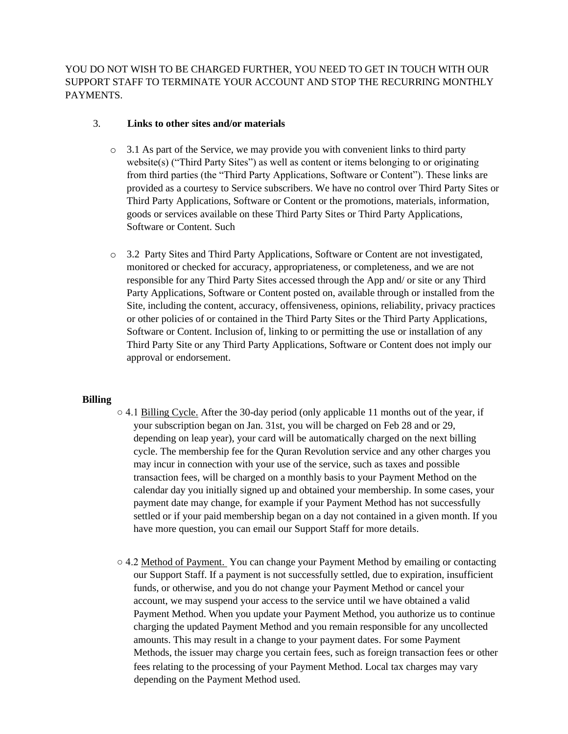YOU DO NOT WISH TO BE CHARGED FURTHER, YOU NEED TO GET IN TOUCH WITH OUR SUPPORT STAFF TO TERMINATE YOUR ACCOUNT AND STOP THE RECURRING MONTHLY PAYMENTS.

### 3. **Links to other sites and/or materials**

- $\circ$  3.1 As part of the Service, we may provide you with convenient links to third party website(s) ("Third Party Sites") as well as content or items belonging to or originating from third parties (the "Third Party Applications, Software or Content"). These links are provided as a courtesy to Service subscribers. We have no control over Third Party Sites or Third Party Applications, Software or Content or the promotions, materials, information, goods or services available on these Third Party Sites or Third Party Applications, Software or Content. Such
- o 3.2 Party Sites and Third Party Applications, Software or Content are not investigated, monitored or checked for accuracy, appropriateness, or completeness, and we are not responsible for any Third Party Sites accessed through the App and/ or site or any Third Party Applications, Software or Content posted on, available through or installed from the Site, including the content, accuracy, offensiveness, opinions, reliability, privacy practices or other policies of or contained in the Third Party Sites or the Third Party Applications, Software or Content. Inclusion of, linking to or permitting the use or installation of any Third Party Site or any Third Party Applications, Software or Content does not imply our approval or endorsement.

# **Billing**

- 4.1 Billing Cycle. After the 30-day period (only applicable 11 months out of the year, if your subscription began on Jan. 31st, you will be charged on Feb 28 and or 29, depending on leap year), your card will be automatically charged on the next billing cycle. The membership fee for the Quran Revolution service and any other charges you may incur in connection with your use of the service, such as taxes and possible transaction fees, will be charged on a monthly basis to your Payment Method on the calendar day you initially signed up and obtained your membership. In some cases, your payment date may change, for example if your Payment Method has not successfully settled or if your paid membership began on a day not contained in a given month. If you have more question, you can email our Support Staff for more details.
- $\circ$  4.2 Method of Payment. You can change your Payment Method by emailing or contacting our Support Staff. If a payment is not successfully settled, due to expiration, insufficient funds, or otherwise, and you do not change your Payment Method or cancel your account, we may suspend your access to the service until we have obtained a valid Payment Method. When you update your Payment Method, you authorize us to continue charging the updated Payment Method and you remain responsible for any uncollected amounts. This may result in a change to your payment dates. For some Payment Methods, the issuer may charge you certain fees, such as foreign transaction fees or other fees relating to the processing of your Payment Method. Local tax charges may vary depending on the Payment Method used.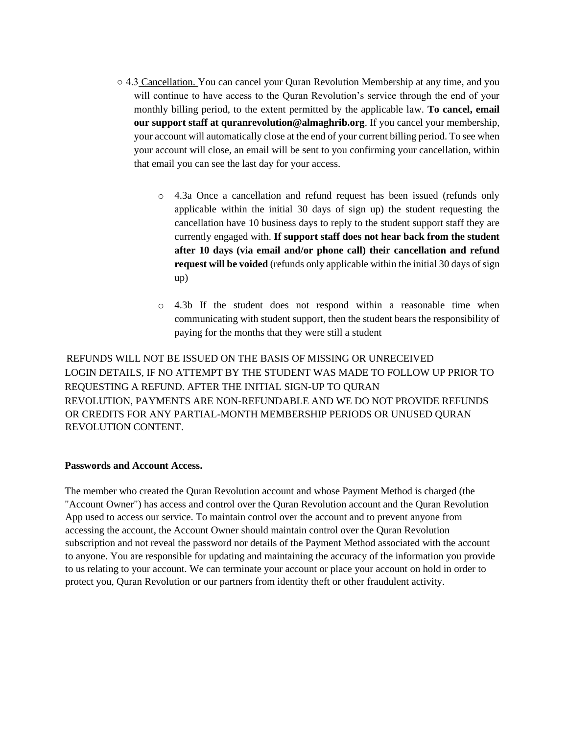- $\circ$  4.3 Cancellation. You can cancel your Quran Revolution Membership at any time, and you will continue to have access to the Quran Revolution's service through the end of your monthly billing period, to the extent permitted by the applicable law. **To cancel, email our support staff at quranrevolution@almaghrib.org**. If you cancel your membership, your account will automatically close at the end of your current billing period. To see when your account will close, an email will be sent to you confirming your cancellation, within that email you can see the last day for your access.
	- o 4.3a Once a cancellation and refund request has been issued (refunds only applicable within the initial 30 days of sign up) the student requesting the cancellation have 10 business days to reply to the student support staff they are currently engaged with. **If support staff does not hear back from the student after 10 days (via email and/or phone call) their cancellation and refund request will be voided** (refunds only applicable within the initial 30 days of sign up)
	- o 4.3b If the student does not respond within a reasonable time when communicating with student support, then the student bears the responsibility of paying for the months that they were still a student

 REFUNDS WILL NOT BE ISSUED ON THE BASIS OF MISSING OR UNRECEIVED LOGIN DETAILS, IF NO ATTEMPT BY THE STUDENT WAS MADE TO FOLLOW UP PRIOR TO REQUESTING A REFUND. AFTER THE INITIAL SIGN-UP TO QURAN REVOLUTION, PAYMENTS ARE NON-REFUNDABLE AND WE DO NOT PROVIDE REFUNDS OR CREDITS FOR ANY PARTIAL-MONTH MEMBERSHIP PERIODS OR UNUSED QURAN REVOLUTION CONTENT.

#### **Passwords and Account Access.**

The member who created the Quran Revolution account and whose Payment Method is charged (the "Account Owner") has access and control over the Quran Revolution account and the Quran Revolution App used to access our service. To maintain control over the account and to prevent anyone from accessing the account, the Account Owner should maintain control over the Quran Revolution subscription and not reveal the password nor details of the Payment Method associated with the account to anyone. You are responsible for updating and maintaining the accuracy of the information you provide to us relating to your account. We can terminate your account or place your account on hold in order to protect you, Quran Revolution or our partners from identity theft or other fraudulent activity.